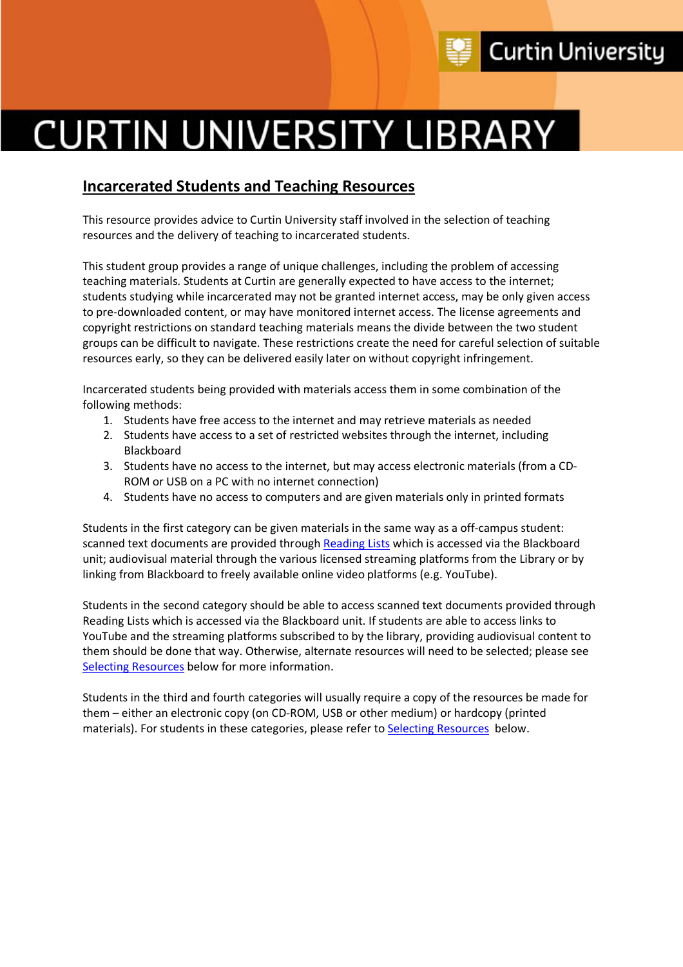

# **CURTIN UNIVERSITY LIBRARY**

# **Incarcerated Students and Teaching Resources**

This resource provides advice to Curtin University staff involved in the selection of teaching resources and the delivery of teaching to incarcerated students.

This student group provides a range of unique challenges, including the problem of accessing teaching materials. Students at Curtin are generally expected to have access to the internet; students studying while incarcerated may not be granted internet access, may be only given access to pre-downloaded content, or may have monitored internet access. The license agreements and copyright restrictions on standard teaching materials means the divide between the two student groups can be difficult to navigate. These restrictions create the need for careful selection of suitable resources early, so they can be delivered easily later on without copyright infringement.

Incarcerated students being provided with materials access them in some combination of the following methods:

- 1. Students have free access to the internet and may retrieve materials as needed
- 2. Students have access to a set of restricted websites through the internet, including Blackboard
- 3. Students have no access to the internet, but may access electronic materials (from a CD-ROM or USB on a PC with no internet connection)
- 4. Students have no access to computers and are given materials only in printed formats

Students in the first category can be given materials in the same way as a off-campus student: scanned text documents are provided through Reading Lists which is accessed via the Blackboard unit; audiovisual material through the various licensed streaming platforms from the Library or by linking from Blackboard to freely available online video platforms (e.g. YouTube).

Students in the second category should be able to access scanned text documents provided through Reading Lists which is accessed via the Blackboard unit. If students are able to access links to YouTube and the streaming platforms subscribed to by the library, providing audiovisual content to them should be done that way. Otherwise, alternate resources will need to be selected; please see Selecting Resources below for more information.

Students in the third and fourth categories will usually require a copy of the resources be made for them – either an electronic copy (on CD-ROM, USB or other medium) or hardcopy (printed materials). For students in these categories, please refer to Selecting Resources below.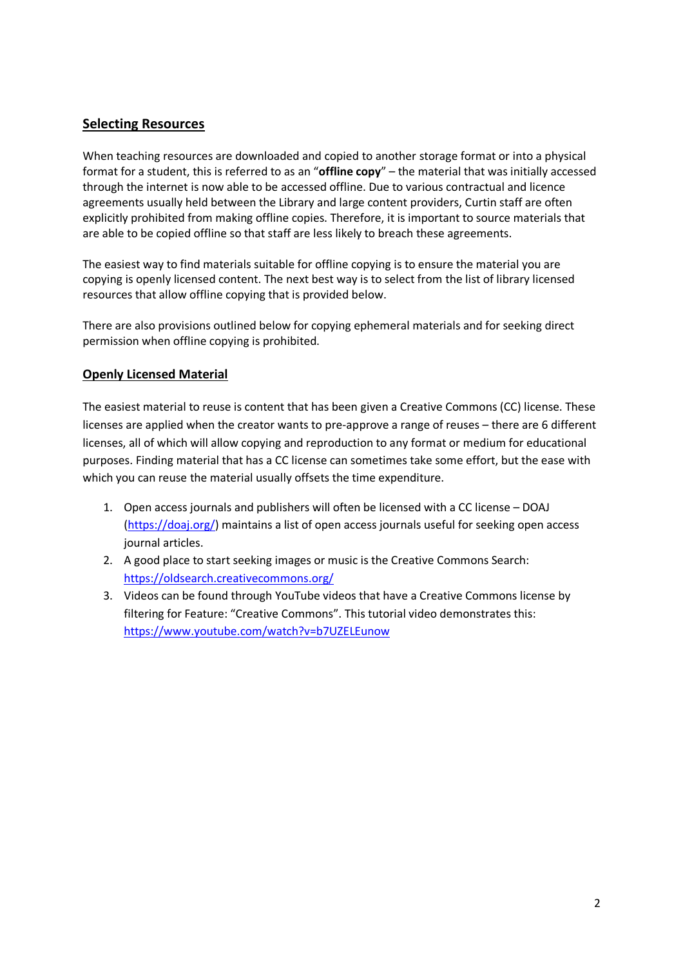# **Selecting Resources**

When teaching resources are downloaded and copied to another storage format or into a physical format for a student, this is referred to as an "**offline copy**" – the material that was initially accessed through the internet is now able to be accessed offline. Due to various contractual and licence agreements usually held between the Library and large content providers, Curtin staff are often explicitly prohibited from making offline copies. Therefore, it is important to source materials that are able to be copied offline so that staff are less likely to breach these agreements.

The easiest way to find materials suitable for offline copying is to ensure the material you are copying is openly licensed content. The next best way is to select from the list of library licensed resources that allow offline copying that is provided below.

There are also provisions outlined below for copying ephemeral materials and for seeking direct permission when offline copying is prohibited.

#### **Openly Licensed Material**

The easiest material to reuse is content that has been given a Creative Commons (CC) license. These licenses are applied when the creator wants to pre-approve a range of reuses – there are 6 different licenses, all of which will allow copying and reproduction to any format or medium for educational purposes. Finding material that has a CC license can sometimes take some effort, but the ease with which you can reuse the material usually offsets the time expenditure.

- 1. Open access journals and publishers will often be licensed with a CC license DOAJ (https://doaj.org/) maintains a list of open access journals useful for seeking open access journal articles.
- 2. A good place to start seeking images or music is the Creative Commons Search: https://oldsearch.creativecommons.org/
- 3. Videos can be found through YouTube videos that have a Creative Commons license by filtering for Feature: "Creative Commons". This tutorial video demonstrates this: https://www.youtube.com/watch?v=b7UZELEunow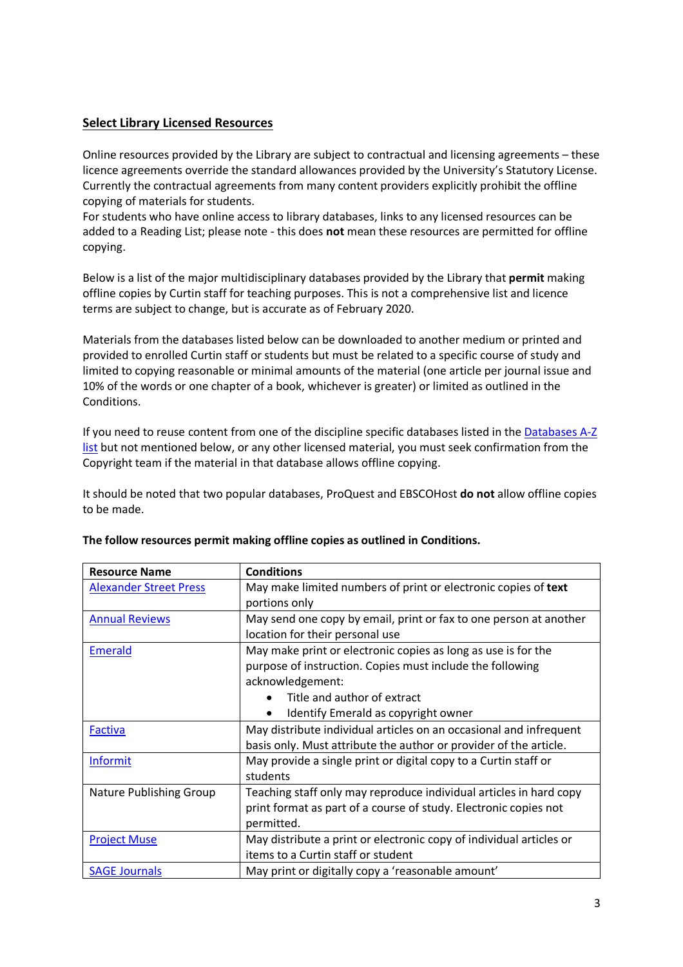#### **Select Library Licensed Resources**

Online resources provided by the Library are subject to contractual and licensing agreements – these licence agreements override the standard allowances provided by the University's Statutory License. Currently the contractual agreements from many content providers explicitly prohibit the offline copying of materials for students.

For students who have online access to library databases, links to any licensed resources can be added to a Reading List; please note - this does **not** mean these resources are permitted for offline copying.

Below is a list of the major multidisciplinary databases provided by the Library that **permit** making offline copies by Curtin staff for teaching purposes. This is not a comprehensive list and licence terms are subject to change, but is accurate as of February 2020.

Materials from the databases listed below can be downloaded to another medium or printed and provided to enrolled Curtin staff or students but must be related to a specific course of study and limited to copying reasonable or minimal amounts of the material (one article per journal issue and 10% of the words or one chapter of a book, whichever is greater) or limited as outlined in the Conditions.

If you need to reuse content from one of the discipline specific databases listed in the Databases A-Z list but not mentioned below, or any other licensed material, you must seek confirmation from the Copyright team if the material in that database allows offline copying.

It should be noted that two popular databases, ProQuest and EBSCOHost **do not** allow offline copies to be made.

| <b>Resource Name</b>          | <b>Conditions</b>                                                   |
|-------------------------------|---------------------------------------------------------------------|
| <b>Alexander Street Press</b> | May make limited numbers of print or electronic copies of text      |
|                               | portions only                                                       |
| <b>Annual Reviews</b>         | May send one copy by email, print or fax to one person at another   |
|                               | location for their personal use                                     |
| <b>Emerald</b>                | May make print or electronic copies as long as use is for the       |
|                               | purpose of instruction. Copies must include the following           |
|                               | acknowledgement:                                                    |
|                               | Title and author of extract                                         |
|                               | Identify Emerald as copyright owner                                 |
| <b>Factiva</b>                | May distribute individual articles on an occasional and infrequent  |
|                               | basis only. Must attribute the author or provider of the article.   |
| <b>Informit</b>               | May provide a single print or digital copy to a Curtin staff or     |
|                               | students                                                            |
| Nature Publishing Group       | Teaching staff only may reproduce individual articles in hard copy  |
|                               | print format as part of a course of study. Electronic copies not    |
|                               | permitted.                                                          |
| <b>Project Muse</b>           | May distribute a print or electronic copy of individual articles or |
|                               | items to a Curtin staff or student                                  |
| <b>SAGE Journals</b>          | May print or digitally copy a 'reasonable amount'                   |

#### **The follow resources permit making offline copies as outlined in Conditions.**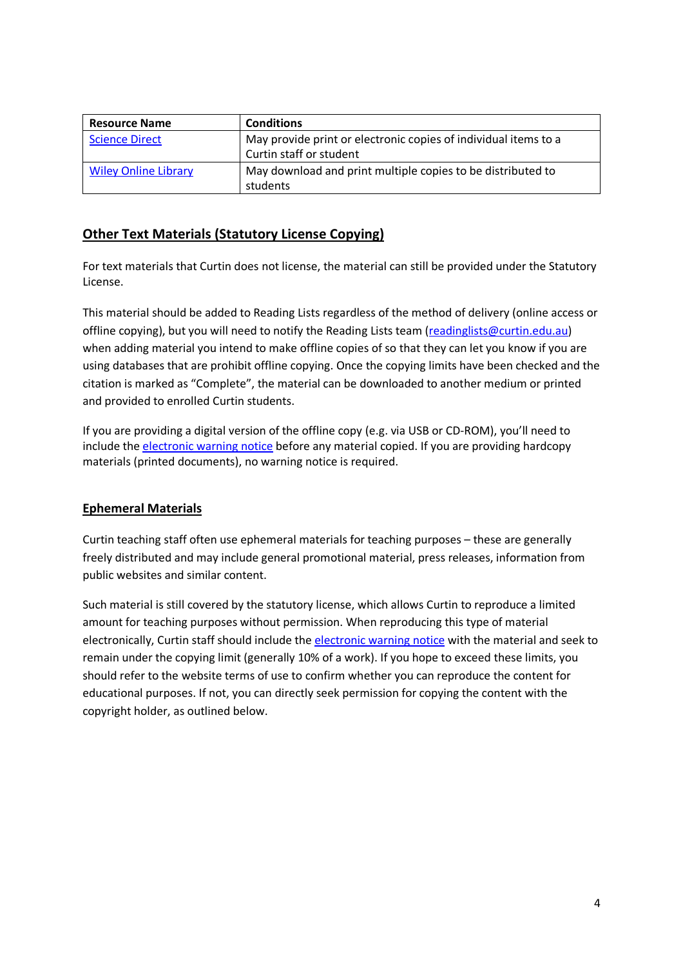| <b>Resource Name</b>        | <b>Conditions</b>                                                                          |
|-----------------------------|--------------------------------------------------------------------------------------------|
| <b>Science Direct</b>       | May provide print or electronic copies of individual items to a<br>Curtin staff or student |
| <b>Wiley Online Library</b> | May download and print multiple copies to be distributed to<br>students                    |

# **Other Text Materials (Statutory License Copying)**

For text materials that Curtin does not license, the material can still be provided under the Statutory License.

This material should be added to Reading Lists regardless of the method of delivery (online access or offline copying), but you will need to notify the Reading Lists team (readinglists@curtin.edu.au) when adding material you intend to make offline copies of so that they can let you know if you are using databases that are prohibit offline copying. Once the copying limits have been checked and the citation is marked as "Complete", the material can be downloaded to another medium or printed and provided to enrolled Curtin students.

If you are providing a digital version of the offline copy (e.g. via USB or CD-ROM), you'll need to include the electronic warning notice before any material copied. If you are providing hardcopy materials (printed documents), no warning notice is required.

### **Ephemeral Materials**

Curtin teaching staff often use ephemeral materials for teaching purposes – these are generally freely distributed and may include general promotional material, press releases, information from public websites and similar content.

Such material is still covered by the statutory license, which allows Curtin to reproduce a limited amount for teaching purposes without permission. When reproducing this type of material electronically, Curtin staff should include the electronic warning notice with the material and seek to remain under the copying limit (generally 10% of a work). If you hope to exceed these limits, you should refer to the website terms of use to confirm whether you can reproduce the content for educational purposes. If not, you can directly seek permission for copying the content with the copyright holder, as outlined below.